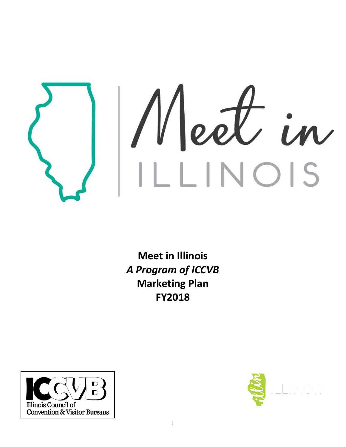

**Meet in Illinois** *A Program of ICCVB* **Marketing Plan FY2018**



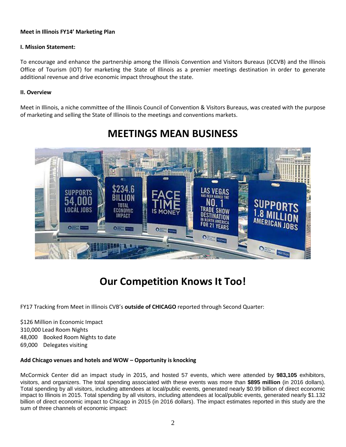## **Meet in Illinois FY14' Marketing Plan**

## **I. Mission Statement:**

To encourage and enhance the partnership among the Illinois Convention and Visitors Bureaus (ICCVB) and the Illinois Office of Tourism (IOT) for marketing the State of Illinois as a premier meetings destination in order to generate additional revenue and drive economic impact throughout the state.

## **II. Overview**

Meet in Illinois, a niche committee of the Illinois Council of Convention & Visitors Bureaus, was created with the purpose of marketing and selling the State of Illinois to the meetings and conventions markets.



# **MEETINGS MEAN BUSINESS**

# **Our Competition Knows It Too!**

FY17 Tracking from Meet in Illinois CVB's **outside of CHICAGO** reported through Second Quarter:

\$126 Million in Economic Impact 310,000 Lead Room Nights 48,000 Booked Room Nights to date 69,000 Delegates visiting

## **Add Chicago venues and hotels and WOW – Opportunity is knocking**

McCormick Center did an impact study in 2015, and hosted 57 events, which were attended by **983,105** exhibitors, visitors, and organizers. The total spending associated with these events was more than **\$895 million** (in 2016 dollars). Total spending by all visitors, including attendees at local/public events, generated nearly \$0.99 billion of direct economic impact to Illinois in 2015. Total spending by all visitors, including attendees at local/public events, generated nearly \$1.132 billion of direct economic impact to Chicago in 2015 (in 2016 dollars). The impact estimates reported in this study are the sum of three channels of economic impact: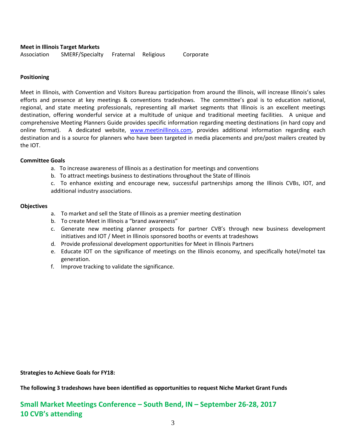## **Meet in Illinois Target Markets**

Association SMERF/Specialty Fraternal Religious Corporate

## **Positioning**

Meet in Illinois, with Convention and Visitors Bureau participation from around the Illinois, will increase Illinois's sales efforts and presence at key meetings & conventions tradeshows. The committee's goal is to education national, regional, and state meeting professionals, representing all market segments that Illinois is an excellent meetings destination, offering wonderful service at a multitude of unique and traditional meeting facilities. A unique and comprehensive Meeting Planners Guide provides specific information regarding meeting destinations (in hard copy and online format). A dedicated website, [www.meetinillinois.com,](http://www.meetinillinois.com/) provides additional information regarding each destination and is a source for planners who have been targeted in media placements and pre/post mailers created by the IOT.

#### **Committee Goals**

- a. To increase awareness of Illinois as a destination for meetings and conventions
- b. To attract meetings business to destinations throughout the State of Illinois

c. To enhance existing and encourage new, successful partnerships among the Illinois CVBs, IOT, and additional industry associations.

#### **Objectives**

- a. To market and sell the State of Illinois as a premier meeting destination
- b. To create Meet in Illinois a "brand awareness"
- c. Generate new meeting planner prospects for partner CVB's through new business development initiatives and IOT / Meet in Illinois sponsored booths or events at tradeshows
- d. Provide professional development opportunities for Meet in Illinois Partners
- e. Educate IOT on the significance of meetings on the Illinois economy, and specifically hotel/motel tax generation.
- f. Improve tracking to validate the significance.

**Strategies to Achieve Goals for FY18:**

**The following 3 tradeshows have been identified as opportunities to request Niche Market Grant Funds** 

## **Small Market Meetings Conference – South Bend, IN – September 26-28, 2017 10 CVB's attending**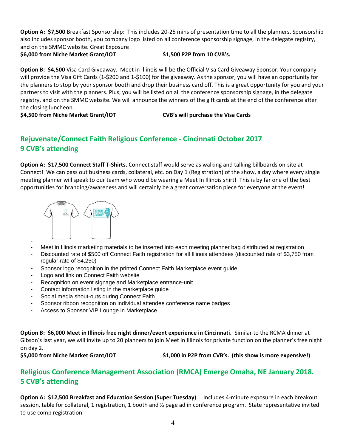**Option A: \$7,500** Breakfast Sponsorship: This includes 20-25 mins of presentation time to all the planners. Sponsorship also includes sponsor booth, you company logo listed on all conference sponsorship signage, in the delegate registry, and on the SMMC website. Great Exposure!

**\$6,000 from Niche Market Grant/IOT \$1,500 P2P from 10 CVB's.** 

**Option B: \$4,500** Visa Card Giveaway. Meet in Illinois will be the Official Visa Card Giveaway Sponsor. Your company will provide the Visa Gift Cards (1-\$200 and 1-\$100) for the giveaway. As the sponsor, you will have an opportunity for the planners to stop by your sponsor booth and drop their business card off. This is a great opportunity for you and your partners to visit with the planners. Plus, you will be listed on all the conference sponsorship signage, in the delegate registry, and on the SMMC website. We will announce the winners of the gift cards at the end of the conference after the closing luncheon.

**\$4,500 from Niche Market Grant/IOT CVB's will purchase the Visa Cards**

## **Rejuvenate/Connect Faith Religious Conference - Cincinnati October 2017 9 CVB's attending**

**Option A: \$17,500 Connect Staff T-Shirts.** Connect staff would serve as walking and talking billboards on-site at Connect! We can pass out business cards, collateral, etc. on Day 1 (Registration) of the show, a day where every single meeting planner will speak to our team who would be wearing a Meet In Illinois shirt! This is by far one of the best opportunities for branding/awareness and will certainly be a great conversation piece for everyone at the event!



- Meet in Illinois marketing materials to be inserted into each meeting planner bag distributed at registration
- Discounted rate of \$500 off Connect Faith registration for all Illinois attendees (discounted rate of \$3,750 from regular rate of \$4,250)
- Sponsor logo recognition in the printed Connect Faith Marketplace event guide
- Logo and link on Connect Faith website
- Recognition on event signage and Marketplace entrance-unit
- Contact information listing in the marketplace quide
- Social media shout-outs during Connect Faith
- Sponsor ribbon recognition on individual attendee conference name badges
- Access to Sponsor VIP Lounge in Marketplace

**Option B: \$6,000 Meet in Illinois free night dinner/event experience in Cincinnati.** Similar to the RCMA dinner at Gibson's last year, we will invite up to 20 planners to join Meet in Illinois for private function on the planner's free night on day 2.

**\$5,000 from Niche Market Grant/IOT \$1,000 in P2P from CVB's. (this show is more expensive!)**

## **Religious Conference Management Association (RMCA) Emerge Omaha, NE January 2018. 5 CVB's attending**

**Option A: \$12,500 Breakfast and Education Session (Super Tuesday)** Includes 4-minute exposure in each breakout session, table for collateral, 1 registration, 1 booth and ½ page ad in conference program. State representative invited to use comp registration.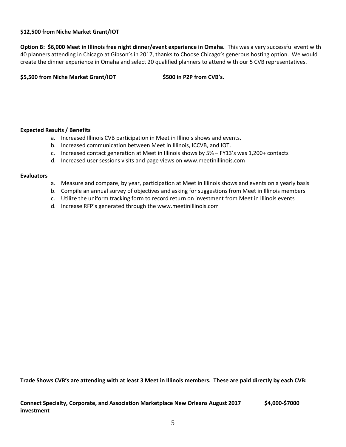## **\$12,500 from Niche Market Grant/IOT**

**Option B: \$6,000 Meet in Illinois free night dinner/event experience in Omaha.** This was a very successful event with 40 planners attending in Chicago at Gibson's in 2017, thanks to Choose Chicago's generous hosting option. We would create the dinner experience in Omaha and select 20 qualified planners to attend with our 5 CVB representatives.

**\$5,500 from Niche Market Grant/IOT \$500 in P2P from CVB's.**

## **Expected Results / Benefits**

- a. Increased Illinois CVB participation in Meet in Illinois shows and events.
- b. Increased communication between Meet in Illinois, ICCVB, and IOT.
- c. Increased contact generation at Meet in Illinois shows by 5% FY13's was 1,200+ contacts
- d. Increased user sessions visits and page views on www.meetinillinois.com

## **Evaluators**

- a. Measure and compare, by year, participation at Meet in Illinois shows and events on a yearly basis
- b. Compile an annual survey of objectives and asking for suggestions from Meet in Illinois members
- c. Utilize the uniform tracking form to record return on investment from Meet in Illinois events
- d. Increase RFP's generated through the www.meetinillinois.com

**Trade Shows CVB's are attending with at least 3 Meet in Illinois members. These are paid directly by each CVB:**

**Connect Specialty, Corporate, and Association Marketplace New Orleans August 2017 \$4,000-\$7000 investment**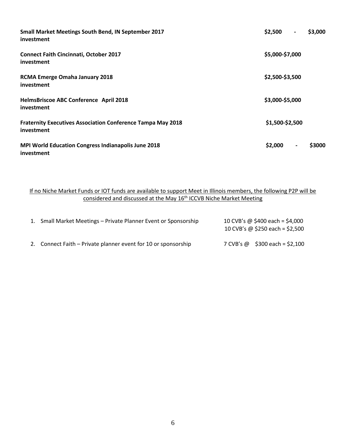| Small Market Meetings South Bend, IN September 2017<br>investment                | \$2,500<br>$\overline{\phantom{a}}$ | \$3,000 |  |
|----------------------------------------------------------------------------------|-------------------------------------|---------|--|
| <b>Connect Faith Cincinnati, October 2017</b><br>investment                      | \$5,000-\$7,000                     |         |  |
| <b>RCMA Emerge Omaha January 2018</b><br>investment                              | \$2,500-\$3,500                     |         |  |
| HelmsBriscoe ABC Conference April 2018<br>investment                             | \$3,000-\$5,000                     |         |  |
| <b>Fraternity Executives Association Conference Tampa May 2018</b><br>investment | \$1,500-\$2,500                     |         |  |
| <b>MPI World Education Congress Indianapolis June 2018</b><br>investment         | \$2,000                             | \$3000  |  |

## If no Niche Market Funds or IOT funds are available to support Meet in Illinois members, the following P2P will be considered and discussed at the May 16<sup>th</sup> ICCVB Niche Market Meeting

| 1. Small Market Meetings – Private Planner Event or Sponsorship | 10 CVB's @ \$400 each = \$4,000<br>10 CVB's @ \$250 each = \$2,500 |
|-----------------------------------------------------------------|--------------------------------------------------------------------|
| 2. Connect Faith – Private planner event for 10 or sponsorship  | 7 CVB's @ \$300 each = \$2,100                                     |